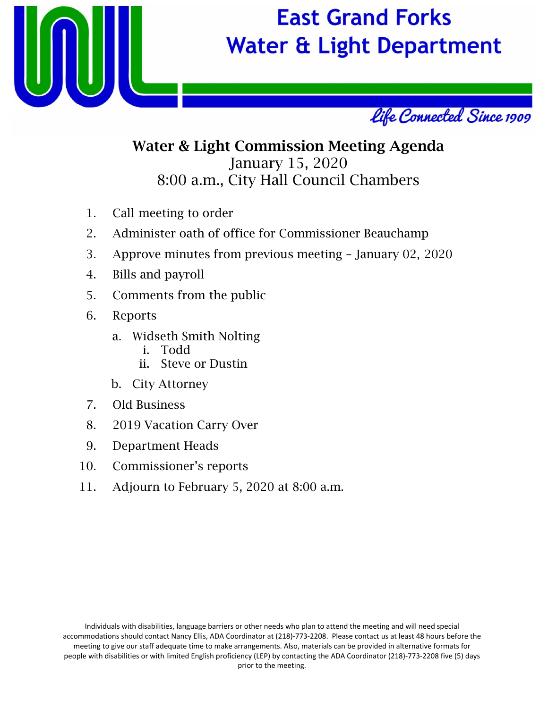

# **East Grand Forks Water & Light Department**



## Water & Light Commission Meeting Agenda January 15, 2020 8:00 a.m., City Hall Council Chambers

- 1. Call meeting to order
- 2. Administer oath of office for Commissioner Beauchamp
- 3. Approve minutes from previous meeting January 02, 2020
- 4. Bills and payroll
- 5. Comments from the public
- 6. Reports
	- a. Widseth Smith Nolting
		- i. Todd
		- ii. Steve or Dustin
	- b. City Attorney
- 7. Old Business
- 8. 2019 Vacation Carry Over
- 9. Department Heads
- 10. Commissioner's reports
- 11. Adjourn to February 5, 2020 at 8:00 a.m.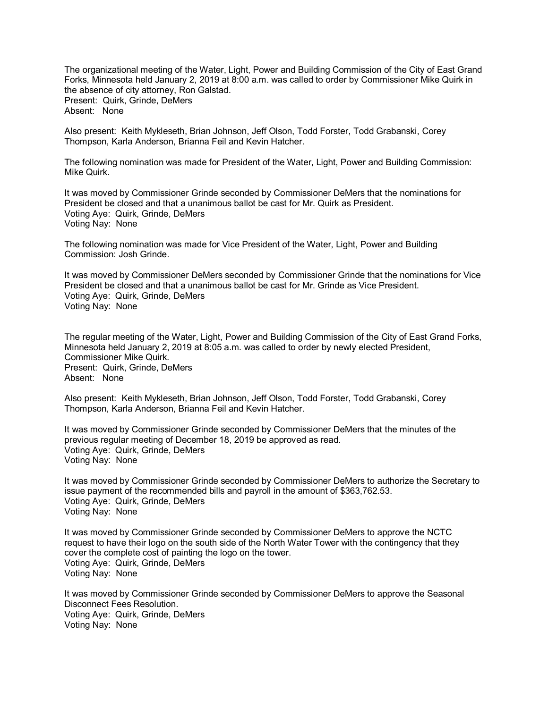The organizational meeting of the Water, Light, Power and Building Commission of the City of East Grand Forks, Minnesota held January 2, 2019 at 8:00 a.m. was called to order by Commissioner Mike Quirk in the absence of city attorney, Ron Galstad. Present: Quirk, Grinde, DeMers Absent: None

Also present: Keith Mykleseth, Brian Johnson, Jeff Olson, Todd Forster, Todd Grabanski, Corey Thompson, Karla Anderson, Brianna Feil and Kevin Hatcher.

The following nomination was made for President of the Water, Light, Power and Building Commission: Mike Quirk.

It was moved by Commissioner Grinde seconded by Commissioner DeMers that the nominations for President be closed and that a unanimous ballot be cast for Mr. Quirk as President. Voting Aye: Quirk, Grinde, DeMers Voting Nay: None

The following nomination was made for Vice President of the Water, Light, Power and Building Commission: Josh Grinde.

It was moved by Commissioner DeMers seconded by Commissioner Grinde that the nominations for Vice President be closed and that a unanimous ballot be cast for Mr. Grinde as Vice President. Voting Aye: Quirk, Grinde, DeMers Voting Nay: None

The regular meeting of the Water, Light, Power and Building Commission of the City of East Grand Forks, Minnesota held January 2, 2019 at 8:05 a.m. was called to order by newly elected President, Commissioner Mike Quirk. Present: Quirk, Grinde, DeMers Absent: None

Also present: Keith Mykleseth, Brian Johnson, Jeff Olson, Todd Forster, Todd Grabanski, Corey Thompson, Karla Anderson, Brianna Feil and Kevin Hatcher.

It was moved by Commissioner Grinde seconded by Commissioner DeMers that the minutes of the previous regular meeting of December 18, 2019 be approved as read. Voting Aye: Quirk, Grinde, DeMers Voting Nay: None

It was moved by Commissioner Grinde seconded by Commissioner DeMers to authorize the Secretary to issue payment of the recommended bills and payroll in the amount of \$363,762.53. Voting Aye: Quirk, Grinde, DeMers Voting Nay: None

It was moved by Commissioner Grinde seconded by Commissioner DeMers to approve the NCTC request to have their logo on the south side of the North Water Tower with the contingency that they cover the complete cost of painting the logo on the tower. Voting Aye: Quirk, Grinde, DeMers Voting Nay: None

It was moved by Commissioner Grinde seconded by Commissioner DeMers to approve the Seasonal Disconnect Fees Resolution. Voting Aye: Quirk, Grinde, DeMers Voting Nay: None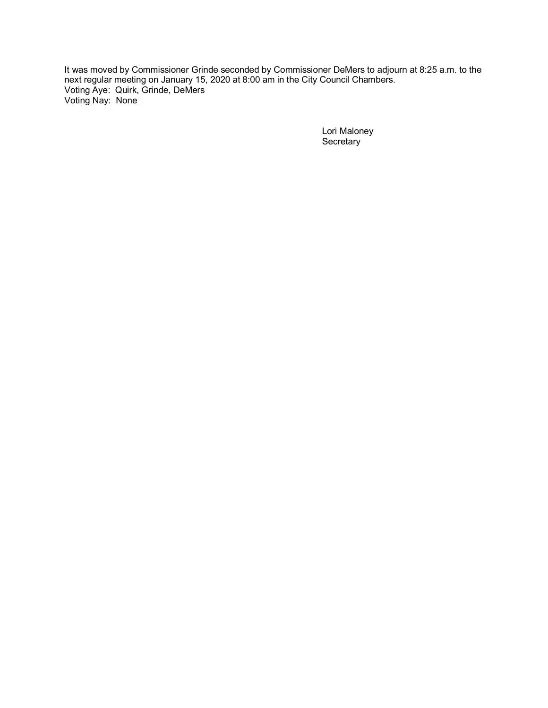It was moved by Commissioner Grinde seconded by Commissioner DeMers to adjourn at 8:25 a.m. to the next regular meeting on January 15, 2020 at 8:00 am in the City Council Chambers. Voting Aye: Quirk, Grinde, DeMers Voting Nay: None

> Lori Maloney **Secretary**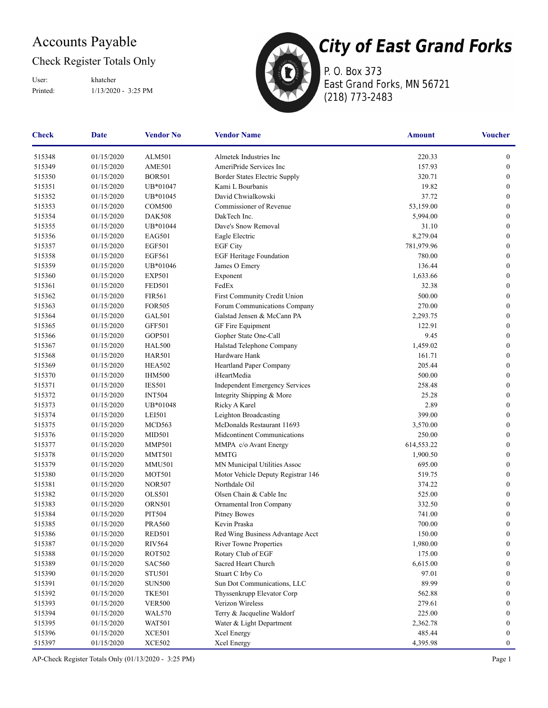### Accounts Payable

### Check Register Totals Only

Printed: 1/13/2020 - 3:25 PM User: khatcher



P. O. Box 373 East Grand Forks, MN 56721 (218) 773-2483

| Check  | <b>Date</b> | <b>Vendor No</b> | <b>Vendor Name</b>                    | <b>Amount</b> | <b>Voucher</b>   |
|--------|-------------|------------------|---------------------------------------|---------------|------------------|
| 515348 | 01/15/2020  | <b>ALM501</b>    | Almetek Industries Inc                | 220.33        | $\boldsymbol{0}$ |
| 515349 | 01/15/2020  | AME501           | AmeriPride Services Inc               | 157.93        | $\mathbf{0}$     |
| 515350 | 01/15/2020  | <b>BOR501</b>    | Border States Electric Supply         | 320.71        | $\overline{0}$   |
| 515351 | 01/15/2020  | UB*01047         | Kami L Bourbanis                      | 19.82         | $\boldsymbol{0}$ |
| 515352 | 01/15/2020  | UB*01045         | David Chwialkowski                    | 37.72         | $\boldsymbol{0}$ |
| 515353 | 01/15/2020  | <b>COM500</b>    | Commissioner of Revenue               | 53,159.00     | $\boldsymbol{0}$ |
| 515354 | 01/15/2020  | <b>DAK508</b>    | DakTech Inc.                          | 5,994.00      | $\boldsymbol{0}$ |
| 515355 | 01/15/2020  | UB*01044         | Dave's Snow Removal                   | 31.10         | $\boldsymbol{0}$ |
| 515356 | 01/15/2020  | <b>EAG501</b>    | Eagle Electric                        | 8,279.04      | $\mathbf{0}$     |
| 515357 | 01/15/2020  | <b>EGF501</b>    | <b>EGF City</b>                       | 781,979.96    | $\overline{0}$   |
| 515358 | 01/15/2020  | <b>EGF561</b>    | <b>EGF Heritage Foundation</b>        | 780.00        | $\boldsymbol{0}$ |
| 515359 | 01/15/2020  | UB*01046         | James O Emery                         | 136.44        | $\boldsymbol{0}$ |
| 515360 | 01/15/2020  | <b>EXP501</b>    | Exponent                              | 1,633.66      | $\boldsymbol{0}$ |
| 515361 | 01/15/2020  | <b>FED501</b>    | FedEx                                 | 32.38         | $\boldsymbol{0}$ |
| 515362 | 01/15/2020  | <b>FIR561</b>    | First Community Credit Union          | 500.00        | $\boldsymbol{0}$ |
| 515363 | 01/15/2020  | <b>FOR505</b>    | Forum Communications Company          | 270.00        | $\overline{0}$   |
| 515364 | 01/15/2020  | GAL501           | Galstad Jensen & McCann PA            | 2,293.75      | $\overline{0}$   |
| 515365 | 01/15/2020  | <b>GFF501</b>    | GF Fire Equipment                     | 122.91        | $\boldsymbol{0}$ |
| 515366 | 01/15/2020  | GOP501           | Gopher State One-Call                 | 9.45          | $\boldsymbol{0}$ |
| 515367 | 01/15/2020  | <b>HAL500</b>    | Halstad Telephone Company             | 1,459.02      | $\boldsymbol{0}$ |
| 515368 | 01/15/2020  | <b>HAR501</b>    | Hardware Hank                         | 161.71        | $\boldsymbol{0}$ |
| 515369 | 01/15/2020  | <b>HEA502</b>    | Heartland Paper Company               | 205.44        | $\overline{0}$   |
| 515370 | 01/15/2020  | <b>IHM500</b>    | iHeartMedia                           | 500.00        | $\mathbf{0}$     |
| 515371 | 01/15/2020  | <b>IES501</b>    | <b>Independent Emergency Services</b> | 258.48        | $\overline{0}$   |
| 515372 | 01/15/2020  | <b>INT504</b>    | Integrity Shipping & More             | 25.28         | $\boldsymbol{0}$ |
| 515373 | 01/15/2020  | UB*01048         | Ricky A Karel                         | 2.89          | $\boldsymbol{0}$ |
| 515374 | 01/15/2020  | <b>LEI501</b>    | Leighton Broadcasting                 | 399.00        | $\boldsymbol{0}$ |
| 515375 | 01/15/2020  | MCD563           | McDonalds Restaurant 11693            | 3,570.00      | $\boldsymbol{0}$ |
| 515376 | 01/15/2020  | <b>MID501</b>    | Midcontinent Communications           | 250.00        | $\overline{0}$   |
| 515377 | 01/15/2020  | <b>MMP501</b>    | MMPA c/o Avant Energy                 | 614,553.22    | $\mathbf{0}$     |
| 515378 | 01/15/2020  | <b>MMT501</b>    | <b>MMTG</b>                           | 1,900.50      | $\boldsymbol{0}$ |
| 515379 | 01/15/2020  | <b>MMU501</b>    | MN Municipal Utilities Assoc          | 695.00        | $\boldsymbol{0}$ |
| 515380 | 01/15/2020  | MOT501           | Motor Vehicle Deputy Registrar 146    | 519.75        | $\boldsymbol{0}$ |
| 515381 | 01/15/2020  | <b>NOR507</b>    | Northdale Oil                         | 374.22        | $\boldsymbol{0}$ |
| 515382 | 01/15/2020  | <b>OLS501</b>    | Olsen Chain & Cable Inc               | 525.00        | $\boldsymbol{0}$ |
| 515383 | 01/15/2020  | <b>ORN501</b>    | Ornamental Iron Company               | 332.50        | $\overline{0}$   |
| 515384 | 01/15/2020  | PIT504           | Pitney Bowes                          | 741.00        | $\boldsymbol{0}$ |
| 515385 | 01/15/2020  | <b>PRA560</b>    | Kevin Praska                          | 700.00        | $\boldsymbol{0}$ |
| 515386 | 01/15/2020  | <b>RED501</b>    | Red Wing Business Advantage Acct      | 150.00        | $\boldsymbol{0}$ |
| 515387 | 01/15/2020  | <b>RIV564</b>    | River Towne Properties                | 1,980.00      | $\boldsymbol{0}$ |
| 515388 | 01/15/2020  | ROT502           | Rotary Club of EGF                    | 175.00        | $\boldsymbol{0}$ |
| 515389 | 01/15/2020  | <b>SAC560</b>    | Sacred Heart Church                   | 6,615.00      | $\overline{0}$   |
| 515390 | 01/15/2020  | <b>STU501</b>    | Stuart C Irby Co                      | 97.01         | $\overline{0}$   |
| 515391 | 01/15/2020  | <b>SUN500</b>    | Sun Dot Communications, LLC           | 89.99         | $\mathbf{0}$     |
| 515392 | 01/15/2020  | <b>TKE501</b>    | Thyssenkrupp Elevator Corp            | 562.88        | $\bf{0}$         |
| 515393 | 01/15/2020  | <b>VER500</b>    | Verizon Wireless                      | 279.61        | 0                |
| 515394 | 01/15/2020  | <b>WAL570</b>    | Terry & Jacqueline Waldorf            | 225.00        | 0                |
| 515395 | 01/15/2020  | <b>WAT501</b>    | Water & Light Department              | 2,362.78      | 0                |
| 515396 | 01/15/2020  | <b>XCE501</b>    | Xcel Energy                           | 485.44        | $\overline{0}$   |
| 515397 | 01/15/2020  | <b>XCE502</b>    | Xcel Energy                           | 4,395.98      | $\boldsymbol{0}$ |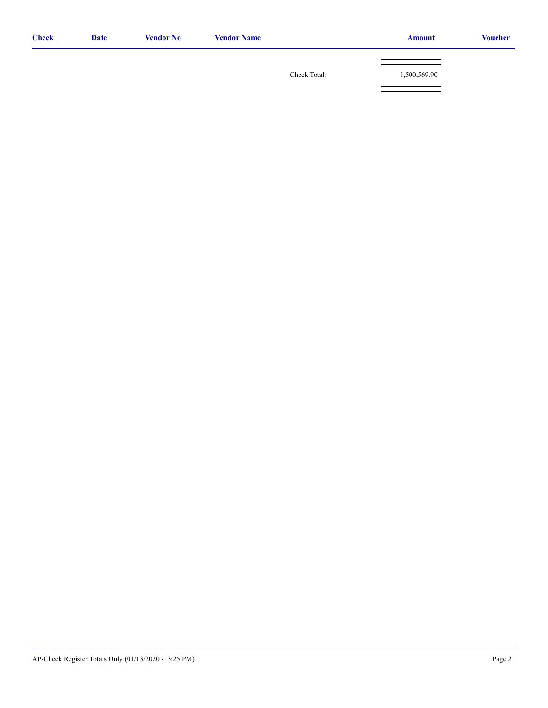| <b>Check</b> | <b>Date</b> | <b>Vendor No</b> | <b>Vendor Name</b> |              | <b>Amount</b> | <b>Voucher</b> |
|--------------|-------------|------------------|--------------------|--------------|---------------|----------------|
|              |             |                  |                    |              |               |                |
|              |             |                  |                    | Check Total: | 1,500,569.90  |                |
|              |             |                  |                    |              |               |                |
|              |             |                  |                    |              |               |                |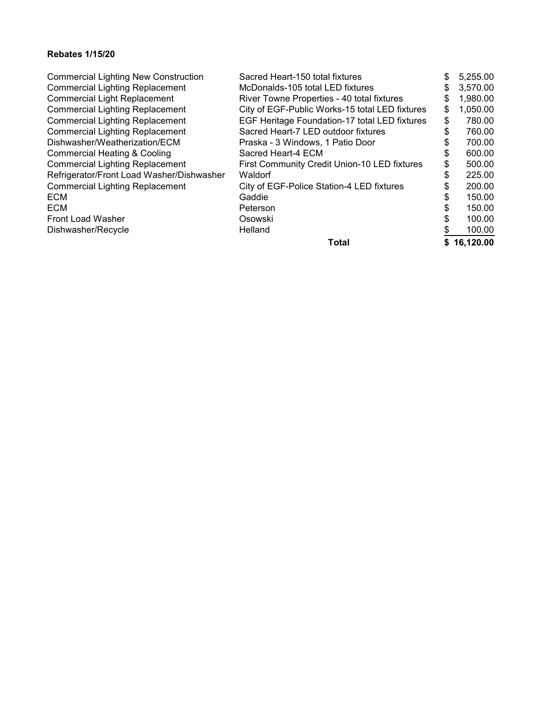#### **Rebates 1/15/20**

| Waldorf      | \$                                                                                                                                                                                                                                                                                                                                                                                                                                                         | 225.00                                                                     |
|--------------|------------------------------------------------------------------------------------------------------------------------------------------------------------------------------------------------------------------------------------------------------------------------------------------------------------------------------------------------------------------------------------------------------------------------------------------------------------|----------------------------------------------------------------------------|
|              |                                                                                                                                                                                                                                                                                                                                                                                                                                                            | 200.00                                                                     |
|              |                                                                                                                                                                                                                                                                                                                                                                                                                                                            | 150.00                                                                     |
|              |                                                                                                                                                                                                                                                                                                                                                                                                                                                            | 150.00                                                                     |
|              |                                                                                                                                                                                                                                                                                                                                                                                                                                                            |                                                                            |
|              |                                                                                                                                                                                                                                                                                                                                                                                                                                                            | 100.00                                                                     |
| Helland      |                                                                                                                                                                                                                                                                                                                                                                                                                                                            | 100.00                                                                     |
| <b>Total</b> |                                                                                                                                                                                                                                                                                                                                                                                                                                                            | \$16,120.00                                                                |
|              | Sacred Heart-150 total fixtures<br>McDonalds-105 total LED fixtures<br>River Towne Properties - 40 total fixtures<br>City of EGF-Public Works-15 total LED fixtures<br>EGF Heritage Foundation-17 total LED fixtures<br>Sacred Heart-7 LED outdoor fixtures<br>Praska - 3 Windows, 1 Patio Door<br>Sacred Heart-4 ECM<br><b>First Community Credit Union-10 LED fixtures</b><br>City of EGF-Police Station-4 LED fixtures<br>Gaddie<br>Peterson<br>Osowski | \$<br>\$<br>\$<br>\$<br>\$<br>\$<br>\$<br>\$<br>\$<br>\$<br>\$<br>\$<br>\$ |